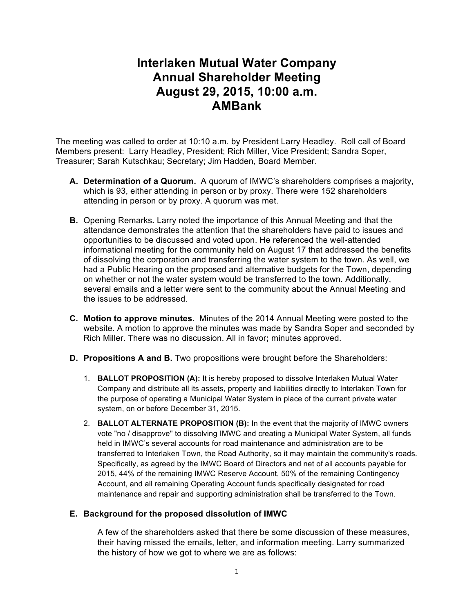# **Interlaken Mutual Water Company Annual Shareholder Meeting August 29, 2015, 10:00 a.m. AMBank**

The meeting was called to order at 10:10 a.m. by President Larry Headley. Roll call of Board Members present: Larry Headley, President; Rich Miller, Vice President; Sandra Soper, Treasurer; Sarah Kutschkau; Secretary; Jim Hadden, Board Member.

- **A. Determination of a Quorum.** A quorum of IMWC's shareholders comprises a majority, which is 93, either attending in person or by proxy. There were 152 shareholders attending in person or by proxy. A quorum was met.
- **B.** Opening Remarks**.** Larry noted the importance of this Annual Meeting and that the attendance demonstrates the attention that the shareholders have paid to issues and opportunities to be discussed and voted upon. He referenced the well-attended informational meeting for the community held on August 17 that addressed the benefits of dissolving the corporation and transferring the water system to the town. As well, we had a Public Hearing on the proposed and alternative budgets for the Town, depending on whether or not the water system would be transferred to the town. Additionally, several emails and a letter were sent to the community about the Annual Meeting and the issues to be addressed.
- **C. Motion to approve minutes.** Minutes of the 2014 Annual Meeting were posted to the website. A motion to approve the minutes was made by Sandra Soper and seconded by Rich Miller. There was no discussion. All in favor**;** minutes approved.
- **D. Propositions A and B.** Two propositions were brought before the Shareholders:
	- 1. **BALLOT PROPOSITION (A):** It is hereby proposed to dissolve Interlaken Mutual Water Company and distribute all its assets, property and liabilities directly to Interlaken Town for the purpose of operating a Municipal Water System in place of the current private water system, on or before December 31, 2015.
	- 2. **BALLOT ALTERNATE PROPOSITION (B):** In the event that the majority of IMWC owners vote "no / disapprove" to dissolving IMWC and creating a Municipal Water System, all funds held in IMWC's several accounts for road maintenance and administration are to be transferred to Interlaken Town, the Road Authority, so it may maintain the community's roads. Specifically, as agreed by the IMWC Board of Directors and net of all accounts payable for 2015, 44% of the remaining IMWC Reserve Account, 50% of the remaining Contingency Account, and all remaining Operating Account funds specifically designated for road maintenance and repair and supporting administration shall be transferred to the Town.

## **E. Background for the proposed dissolution of IMWC**

A few of the shareholders asked that there be some discussion of these measures, their having missed the emails, letter, and information meeting. Larry summarized the history of how we got to where we are as follows: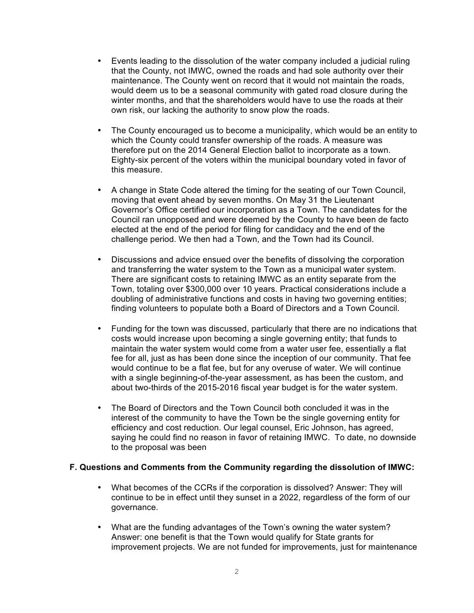- Events leading to the dissolution of the water company included a judicial ruling that the County, not IMWC, owned the roads and had sole authority over their maintenance. The County went on record that it would not maintain the roads, would deem us to be a seasonal community with gated road closure during the winter months, and that the shareholders would have to use the roads at their own risk, our lacking the authority to snow plow the roads.
- The County encouraged us to become a municipality, which would be an entity to which the County could transfer ownership of the roads. A measure was therefore put on the 2014 General Election ballot to incorporate as a town. Eighty-six percent of the voters within the municipal boundary voted in favor of this measure.
- A change in State Code altered the timing for the seating of our Town Council, moving that event ahead by seven months. On May 31 the Lieutenant Governor's Office certified our incorporation as a Town. The candidates for the Council ran unopposed and were deemed by the County to have been de facto elected at the end of the period for filing for candidacy and the end of the challenge period. We then had a Town, and the Town had its Council.
- Discussions and advice ensued over the benefits of dissolving the corporation and transferring the water system to the Town as a municipal water system. There are significant costs to retaining IMWC as an entity separate from the Town, totaling over \$300,000 over 10 years. Practical considerations include a doubling of administrative functions and costs in having two governing entities; finding volunteers to populate both a Board of Directors and a Town Council.
- Funding for the town was discussed, particularly that there are no indications that costs would increase upon becoming a single governing entity; that funds to maintain the water system would come from a water user fee, essentially a flat fee for all, just as has been done since the inception of our community. That fee would continue to be a flat fee, but for any overuse of water. We will continue with a single beginning-of-the-year assessment, as has been the custom, and about two-thirds of the 2015-2016 fiscal year budget is for the water system.
- The Board of Directors and the Town Council both concluded it was in the interest of the community to have the Town be the single governing entity for efficiency and cost reduction. Our legal counsel, Eric Johnson, has agreed, saying he could find no reason in favor of retaining IMWC. To date, no downside to the proposal was been

#### **F. Questions and Comments from the Community regarding the dissolution of IMWC:**

- What becomes of the CCRs if the corporation is dissolved? Answer: They will continue to be in effect until they sunset in a 2022, regardless of the form of our governance.
- What are the funding advantages of the Town's owning the water system? Answer: one benefit is that the Town would qualify for State grants for improvement projects. We are not funded for improvements, just for maintenance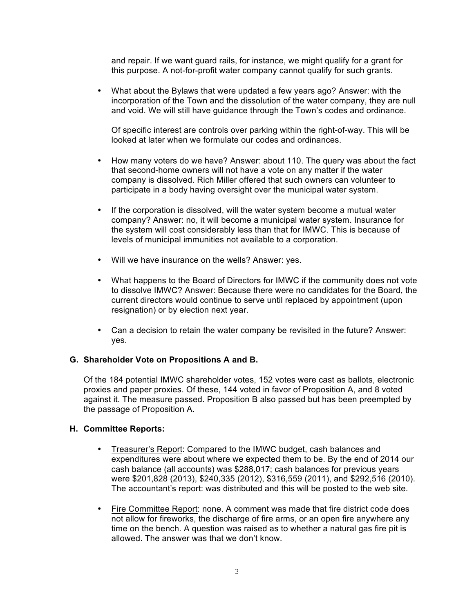and repair. If we want guard rails, for instance, we might qualify for a grant for this purpose. A not-for-profit water company cannot qualify for such grants.

• What about the Bylaws that were updated a few years ago? Answer: with the incorporation of the Town and the dissolution of the water company, they are null and void. We will still have guidance through the Town's codes and ordinance.

Of specific interest are controls over parking within the right-of-way. This will be looked at later when we formulate our codes and ordinances.

- How many voters do we have? Answer: about 110. The query was about the fact that second-home owners will not have a vote on any matter if the water company is dissolved. Rich Miller offered that such owners can volunteer to participate in a body having oversight over the municipal water system.
- If the corporation is dissolved, will the water system become a mutual water company? Answer: no, it will become a municipal water system. Insurance for the system will cost considerably less than that for IMWC. This is because of levels of municipal immunities not available to a corporation.
- Will we have insurance on the wells? Answer: yes.
- What happens to the Board of Directors for IMWC if the community does not vote to dissolve IMWC? Answer: Because there were no candidates for the Board, the current directors would continue to serve until replaced by appointment (upon resignation) or by election next year.
- Can a decision to retain the water company be revisited in the future? Answer: yes.

## **G. Shareholder Vote on Propositions A and B.**

Of the 184 potential IMWC shareholder votes, 152 votes were cast as ballots, electronic proxies and paper proxies. Of these, 144 voted in favor of Proposition A, and 8 voted against it. The measure passed. Proposition B also passed but has been preempted by the passage of Proposition A.

#### **H. Committee Reports:**

- Treasurer's Report: Compared to the IMWC budget, cash balances and expenditures were about where we expected them to be. By the end of 2014 our cash balance (all accounts) was \$288,017; cash balances for previous years were \$201,828 (2013), \$240,335 (2012), \$316,559 (2011), and \$292,516 (2010). The accountant's report: was distributed and this will be posted to the web site.
- Fire Committee Report: none. A comment was made that fire district code does not allow for fireworks, the discharge of fire arms, or an open fire anywhere any time on the bench. A question was raised as to whether a natural gas fire pit is allowed. The answer was that we don't know.